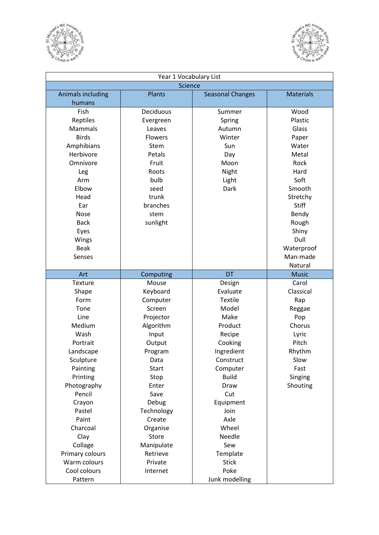



| Year 1 Vocabulary List |                |                         |                  |  |
|------------------------|----------------|-------------------------|------------------|--|
| <b>Science</b>         |                |                         |                  |  |
| Animals including      | <b>Plants</b>  | <b>Seasonal Changes</b> | <b>Materials</b> |  |
| humans                 |                |                         |                  |  |
| Fish                   | Deciduous      | Summer                  | Wood             |  |
| Reptiles               | Evergreen      | Spring                  | Plastic          |  |
| Mammals                | Leaves         | Autumn                  | Glass            |  |
| <b>Birds</b>           | <b>Flowers</b> | Winter                  | Paper            |  |
| Amphibians             | Stem           | Sun                     | Water            |  |
| Herbivore              | Petals         | Day                     | Metal            |  |
| Omnivore               | Fruit          | Moon                    | Rock             |  |
| Leg                    | Roots          | Night                   | Hard             |  |
| Arm                    | bulb           | Light                   | Soft             |  |
| Elbow                  | seed           | Dark                    | Smooth           |  |
| Head                   | trunk          |                         | Stretchy         |  |
| Ear                    | branches       |                         | Stiff            |  |
| Nose                   | stem           |                         | Bendy            |  |
| <b>Back</b>            | sunlight       |                         | Rough            |  |
| Eyes                   |                |                         | Shiny            |  |
| Wings                  |                |                         | Dull             |  |
| <b>Beak</b>            |                |                         | Waterproof       |  |
| Senses                 |                |                         | Man-made         |  |
|                        |                |                         | Natural          |  |
| Art                    | Computing      | <b>DT</b>               | <b>Music</b>     |  |
| <b>Texture</b>         | Mouse          | Design                  | Carol            |  |
| Shape                  | Keyboard       | Evaluate                | Classical        |  |
| Form                   | Computer       | <b>Textile</b>          | Rap              |  |
| Tone                   | Screen         | Model                   | Reggae           |  |
| Line                   | Projector      | Make                    | Pop              |  |
| Medium                 | Algorithm      | Product                 | Chorus           |  |
| Wash                   | Input          | Recipe                  | Lyric            |  |
| Portrait               | Output         | Cooking                 | Pitch            |  |
| Landscape              | Program        | Ingredient              | Rhythm           |  |
| Sculpture              | Data           | Construct               | Slow             |  |
| Painting               | <b>Start</b>   | Computer                | Fast             |  |
| Printing               | Stop           | <b>Build</b>            | Singing          |  |
| Photography            | Enter          | <b>Draw</b>             | Shouting         |  |
| Pencil                 | Save           | Cut                     |                  |  |
| Crayon                 | Debug          | Equipment               |                  |  |
| Pastel                 | Technology     | Join                    |                  |  |
| Paint                  | Create         | Axle                    |                  |  |
| Charcoal               | Organise       | Wheel                   |                  |  |
| Clay                   | Store          | Needle                  |                  |  |
| Collage                | Manipulate     | Sew                     |                  |  |
| Primary colours        | Retrieve       | Template                |                  |  |
| Warm colours           | Private        | <b>Stick</b>            |                  |  |
| Cool colours           | Internet       | Poke                    |                  |  |
| Pattern                |                | Junk modelling          |                  |  |